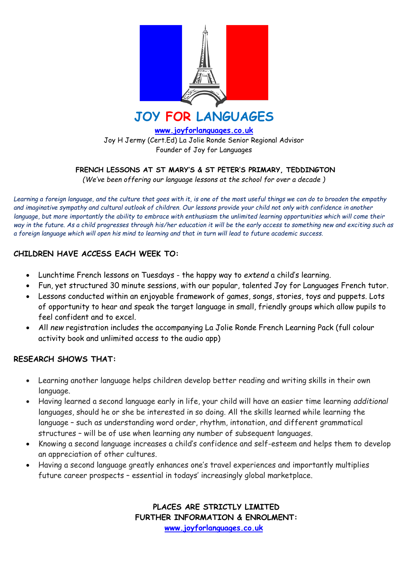

**[www.joyforlanguages.co.uk](http://www.joyforlanguages.co.uk/)** Joy H Jermy (Cert.Ed) La Jolie Ronde Senior Regional Advisor Founder of Joy for Languages

**FRENCH LESSONS AT ST MARY'S & ST PETER'S PRIMARY, TEDDINGTON**

*(We've been offering our language lessons at the school for over a decade )*

*Learning a foreign language, and the culture that goes with it, is one of the most useful things we can do to broaden the empathy and imaginative sympathy and cultural outlook of children. Our lessons provide your child not only with confidence in another*  language, but more importantly the ability to embrace with enthusiasm the unlimited learning opportunities which will come their *way in the future. As a child progresses through his/her education it will be the early access to something new and exciting such as a foreign language which will open his mind to learning and that in turn will lead to future academic success.* 

## **CHILDREN HAVE ACCESS EACH WEEK TO:**

- Lunchtime French lessons on Tuesdays the happy way to *extend* a child's learning.
- Fun, yet structured 30 minute sessions, with our popular, talented Joy for Languages French tutor.
- Lessons conducted within an enjoyable framework of games, songs, stories, toys and puppets. Lots of opportunity to hear and speak the target language in small, friendly groups which allow pupils to feel confident and to excel.
- All *new* registration includes the accompanying La Jolie Ronde French Learning Pack (full colour activity book and unlimited access to the audio app)

## **RESEARCH SHOWS THAT:**

- Learning another language helps children develop better reading and writing skills in their own language.
- Having learned a second language early in life, your child will have an easier time learning *additional* languages, should he or she be interested in so doing. All the skills learned while learning the language – such as understanding word order, rhythm, intonation, and different grammatical structures – will be of use when learning any number of subsequent languages.
- Knowing a second language increases a child's confidence and self-esteem and helps them to develop an appreciation of other cultures.
- Having a second language greatly enhances one's travel experiences and importantly multiplies future career prospects – essential in todays' increasingly global marketplace.

**PLACES ARE STRICTLY LIMITED FURTHER INFORMATION & ENROLMENT: [www.joyforlanguages.co.uk](http://www.joyforlanguages.co.uk/)**